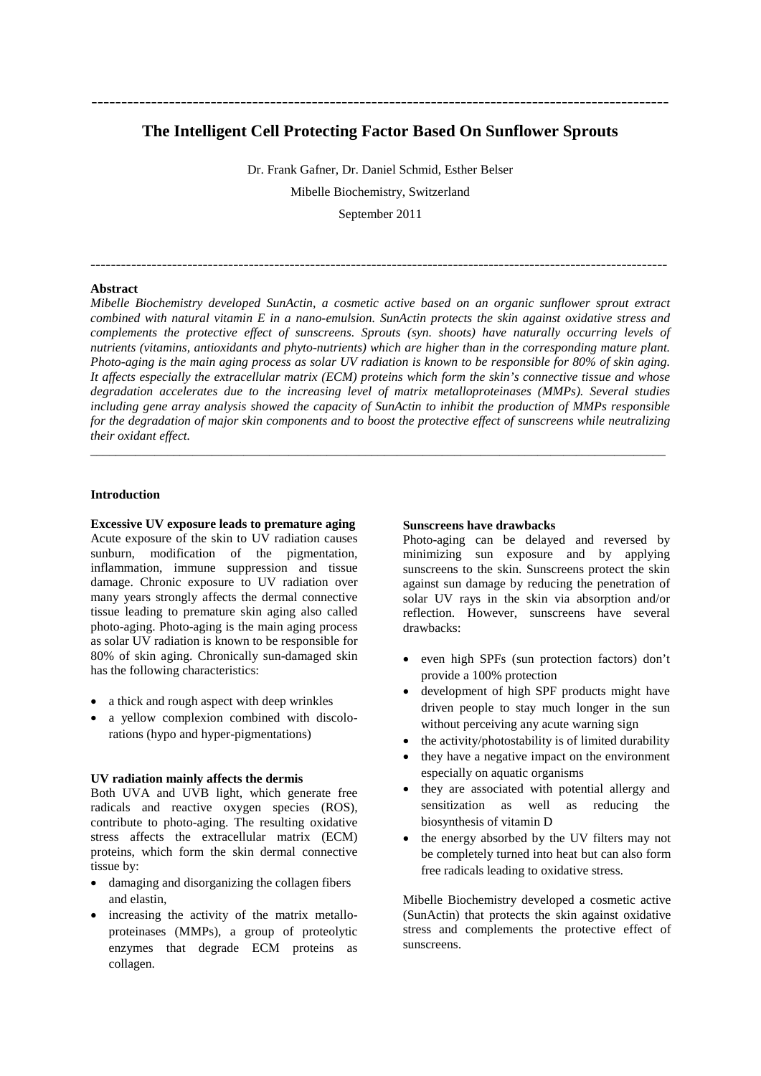# **The Intelligent Cell Protecting Factor Based On Sunflower Sprouts**

**-------------------------------------------------------------------------------------------------**

Dr. Frank Gafner, Dr. Daniel Schmid, Esther Belser Mibelle Biochemistry, Switzerland

September 2011

-----------------------------------------------------------------------------------------------------------------

### **Abstract**

*Mibelle Biochemistry developed SunActin, a cosmetic active based on an organic sunflower sprout extract combined with natural vitamin E in a nano-emulsion. SunActin protects the skin against oxidative stress and complements the protective effect of sunscreens. Sprouts (syn. shoots) have naturally occurring levels of nutrients (vitamins, antioxidants and phyto-nutrients) which are higher than in the corresponding mature plant. Photo-aging is the main aging process as solar UV radiation is known to be responsible for 80% of skin aging. It affects especially the extracellular matrix (ECM) proteins which form the skin's connective tissue and whose degradation accelerates due to the increasing level of matrix metalloproteinases (MMPs). Several studies including gene array analysis showed the capacity of SunActin to inhibit the production of MMPs responsible for the degradation of major skin components and to boost the protective effect of sunscreens while neutralizing their oxidant effect.*

\_\_\_\_\_\_\_\_\_\_\_\_\_\_\_\_\_\_\_\_\_\_\_\_\_\_\_\_\_\_\_\_\_\_\_\_\_\_\_\_\_\_\_\_\_\_\_\_\_\_\_\_\_\_\_\_\_\_\_\_\_\_\_\_\_\_\_\_\_\_\_\_\_\_\_\_\_\_\_\_\_\_\_\_\_\_\_\_\_\_

# **Introduction**

**Excessive UV exposure leads to premature aging** Acute exposure of the skin to UV radiation causes sunburn, modification of the pigmentation, inflammation, immune suppression and tissue damage. Chronic exposure to UV radiation over many years strongly affects the dermal connective tissue leading to premature skin aging also called photo-aging. Photo-aging is the main aging process as solar UV radiation is known to be responsible for 80% of skin aging. Chronically sun-damaged skin has the following characteristics:

- a thick and rough aspect with deep wrinkles
- a yellow complexion combined with discolorations (hypo and hyper-pigmentations)

#### **UV radiation mainly affects the dermis**

Both UVA and UVB light, which generate free radicals and reactive oxygen species (ROS), contribute to photo-aging. The resulting oxidative stress affects the extracellular matrix (ECM) proteins, which form the skin dermal connective tissue by:

- damaging and disorganizing the collagen fibers and elastin,
- increasing the activity of the matrix metalloproteinases (MMPs), a group of proteolytic enzymes that degrade ECM proteins as collagen.

# **Sunscreens have drawbacks**

Photo-aging can be delayed and reversed by minimizing sun exposure and by applying sunscreens to the skin. Sunscreens protect the skin against sun damage by reducing the penetration of solar UV rays in the skin via absorption and/or reflection. However, sunscreens have several drawbacks:

- even high SPFs (sun protection factors) don't provide a 100% protection
- development of high SPF products might have driven people to stay much longer in the sun without perceiving any acute warning sign
- the activity/photostability is of limited durability
- they have a negative impact on the environment especially on aquatic organisms
- they are associated with potential allergy and sensitization as well as reducing the biosynthesis of vitamin D
- the energy absorbed by the UV filters may not be completely turned into heat but can also form free radicals leading to oxidative stress.

Mibelle Biochemistry developed a cosmetic active (SunActin) that protects the skin against oxidative stress and complements the protective effect of sunscreens.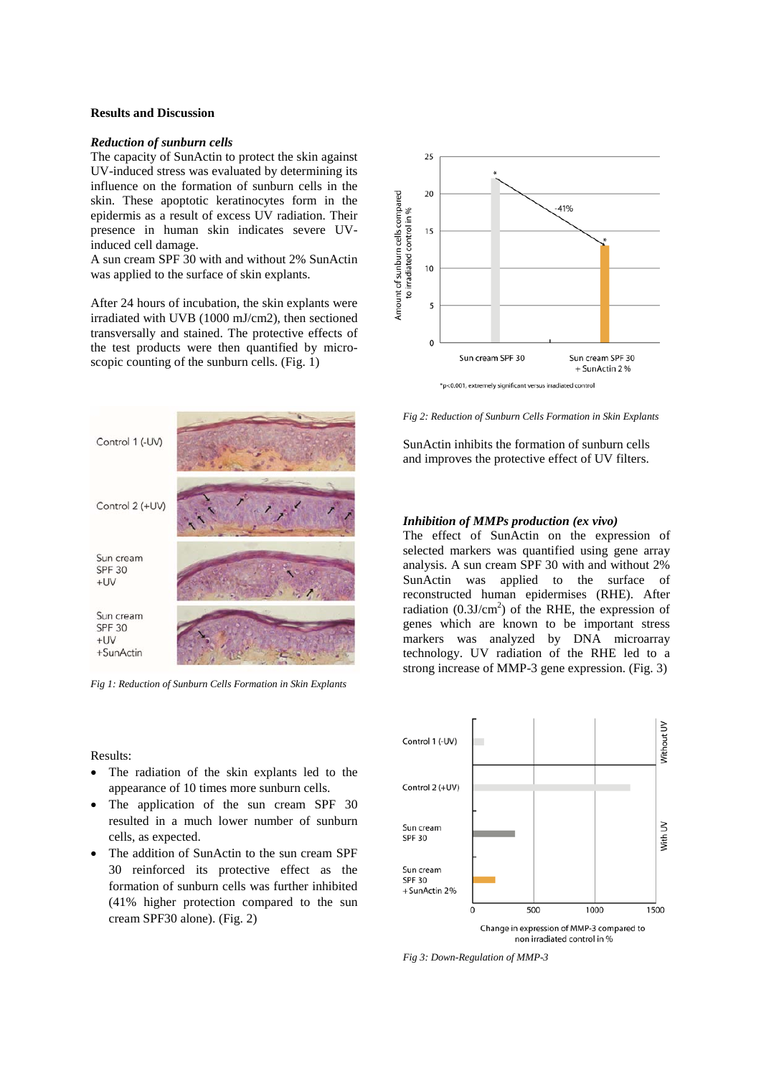# **Results and Discussion**

# *Reduction of sunburn cells*

The capacity of SunActin to protect the skin against UV-induced stress was evaluated by determining its influence on the formation of sunburn cells in the skin. These apoptotic keratinocytes form in the epidermis as a result of excess UV radiation. Their presence in human skin indicates severe UVinduced cell damage.

A sun cream SPF 30 with and without 2% SunActin was applied to the surface of skin explants.

After 24 hours of incubation, the skin explants were irradiated with UVB (1000 mJ/cm2), then sectioned transversally and stained. The protective effects of the test products were then quantified by microscopic counting of the sunburn cells. (Fig. 1)



*Fig 1: Reduction of Sunburn Cells Formation in Skin Explants*

Results:

- The radiation of the skin explants led to the appearance of 10 times more sunburn cells.
- The application of the sun cream SPF 30 resulted in a much lower number of sunburn cells, as expected.
- The addition of SunActin to the sun cream SPF 30 reinforced its protective effect as the formation of sunburn cells was further inhibited (41% higher protection compared to the sun cream SPF30 alone). (Fig. 2)



*Fig 2: Reduction of Sunburn Cells Formation in Skin Explants*

SunActin inhibits the formation of sunburn cells and improves the protective effect of UV filters.

#### *Inhibition of MMPs production (ex vivo)*

The effect of SunActin on the expression of selected markers was quantified using gene array analysis. A sun cream SPF 30 with and without 2% SunActin was applied to the surface of reconstructed human epidermises (RHE). After radiation  $(0.3J/cm<sup>2</sup>)$  of the RHE, the expression of genes which are known to be important stress markers was analyzed by DNA microarray technology. UV radiation of the RHE led to a strong increase of MMP-3 gene expression. (Fig. 3)



*Fig 3: Down-Regulation of MMP-3*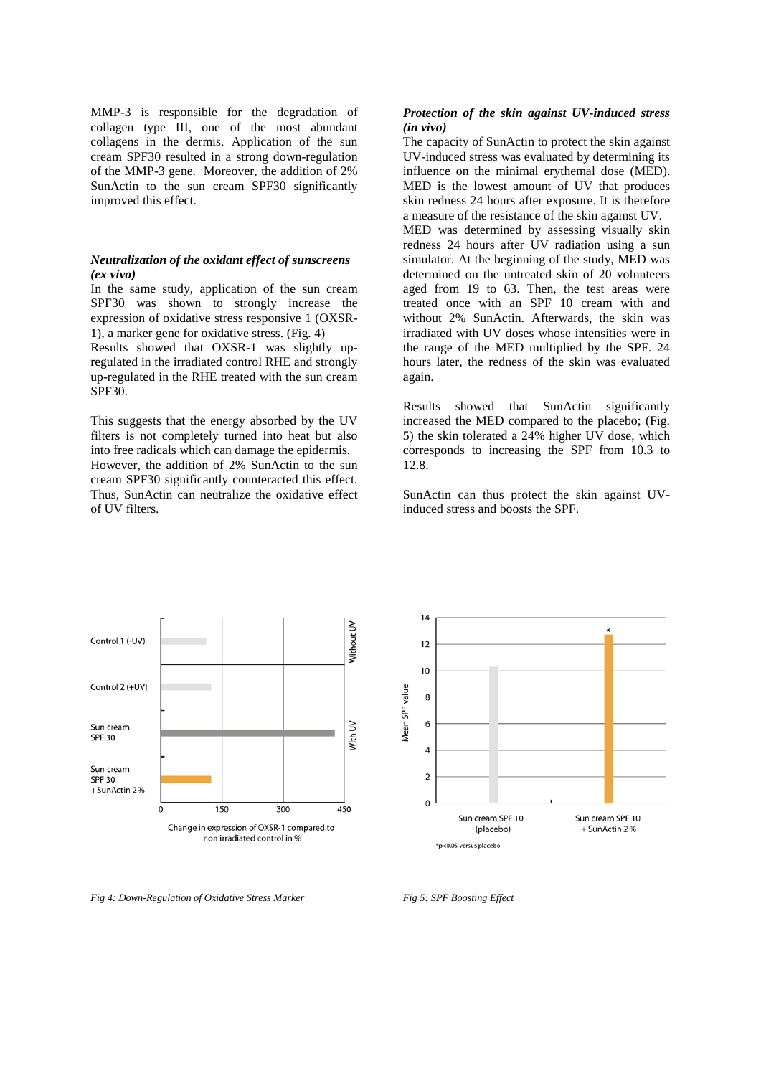MMP-3 is responsible for the degradation of collagen type III, one of the most abundant collagens in the dermis. Application of the sun cream SPF30 resulted in a strong down-regulation of the MMP-3 gene. Moreover, the addition of 2% SunActin to the sun cream SPF30 significantly improved this effect.

### *Neutralization of the oxidant effect of sunscreens (ex vivo)*

In the same study, application of the sun cream SPF30 was shown to strongly increase the expression of oxidative stress responsive 1 (OXSR-1), a marker gene for oxidative stress. (Fig. 4)

Results showed that OXSR-1 was slightly upregulated in the irradiated control RHE and strongly up-regulated in the RHE treated with the sun cream SPF<sub>30</sub>.

This suggests that the energy absorbed by the UV filters is not completely turned into heat but also into free radicals which can damage the epidermis. However, the addition of 2% SunActin to the sun cream SPF30 significantly counteracted this effect. Thus, SunActin can neutralize the oxidative effect of UV filters.

# *Protection of the skin against UV-induced stress (in vivo)*

The capacity of SunActin to protect the skin against UV-induced stress was evaluated by determining its influence on the minimal erythemal dose (MED). MED is the lowest amount of UV that produces skin redness 24 hours after exposure. It is therefore a measure of the resistance of the skin against UV. MED was determined by assessing visually skin redness 24 hours after UV radiation using a sun simulator. At the beginning of the study, MED was determined on the untreated skin of 20 volunteers aged from 19 to 63. Then, the test areas were

treated once with an SPF 10 cream with and without 2% SunActin. Afterwards, the skin was irradiated with UV doses whose intensities were in the range of the MED multiplied by the SPF. 24 hours later, the redness of the skin was evaluated again.

Results showed that SunActin significantly increased the MED compared to the placebo; (Fig. 5) the skin tolerated a 24% higher UV dose, which corresponds to increasing the SPF from 10.3 to 12.8.

SunActin can thus protect the skin against UVinduced stress and boosts the SPF.





*Fig 4: Down-Regulation of Oxidative Stress Marker*

*Fig 5: SPF Boosting Effect*